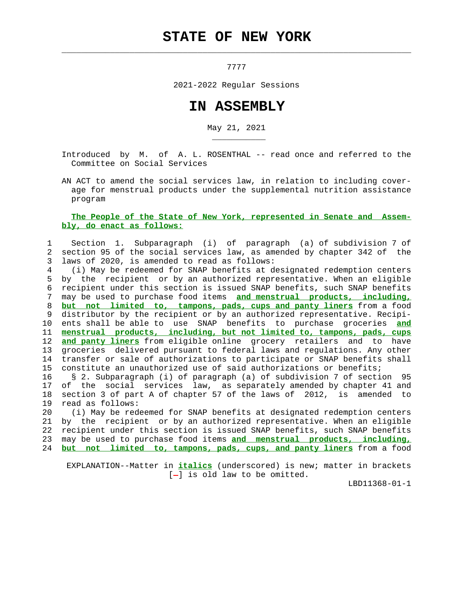# **STATE OF NEW YORK**

 $\mathcal{L}_\text{max} = \frac{1}{2} \sum_{i=1}^{n} \frac{1}{2} \sum_{i=1}^{n} \frac{1}{2} \sum_{i=1}^{n} \frac{1}{2} \sum_{i=1}^{n} \frac{1}{2} \sum_{i=1}^{n} \frac{1}{2} \sum_{i=1}^{n} \frac{1}{2} \sum_{i=1}^{n} \frac{1}{2} \sum_{i=1}^{n} \frac{1}{2} \sum_{i=1}^{n} \frac{1}{2} \sum_{i=1}^{n} \frac{1}{2} \sum_{i=1}^{n} \frac{1}{2} \sum_{i=1}^{n} \frac{1$ 

\_\_\_\_\_\_\_\_\_\_\_

7777

2021-2022 Regular Sessions

## **IN ASSEMBLY**

May 21, 2021

 Introduced by M. of A. L. ROSENTHAL -- read once and referred to the Committee on Social Services

 AN ACT to amend the social services law, in relation to including cover age for menstrual products under the supplemental nutrition assistance program

#### **The People of the State of New York, represented in Senate and Assem bly, do enact as follows:**

### 1 Section 1. Subparagraph (i) of paragraph (a) of subdivision 7 of 2 section 95 of the social services law, as amended by chapter 342 of the 3 laws of 2020, is amended to read as follows:

 4 (i) May be redeemed for SNAP benefits at designated redemption centers 5 by the recipient or by an authorized representative. When an eligible 6 recipient under this section is issued SNAP benefits, such SNAP benefits 7 may be used to purchase food items **and menstrual products, including,** 8 **but not limited to, tampons, pads, cups and panty liners** from a food 9 distributor by the recipient or by an authorized representative. Recipi- 10 ents shall be able to use SNAP benefits to purchase groceries **and** 11 **menstrual products, including, but not limited to, tampons, pads, cups** 12 **and panty liners** from eligible online grocery retailers and to have 13 groceries delivered pursuant to federal laws and regulations. Any other 14 transfer or sale of authorizations to participate or SNAP benefits shall 15 constitute an unauthorized use of said authorizations or benefits;

 16 § 2. Subparagraph (i) of paragraph (a) of subdivision 7 of section 95 17 of the social services law, as separately amended by chapter 41 and 18 section 3 of part A of chapter 57 of the laws of 2012, is amended to 19 read as follows:

 20 (i) May be redeemed for SNAP benefits at designated redemption centers 21 by the recipient or by an authorized representative. When an eligible 22 recipient under this section is issued SNAP benefits, such SNAP benefits 23 may be used to purchase food items **and menstrual products, including,** 24 **but not limited to, tampons, pads, cups, and panty liners** from a food

 EXPLANATION--Matter in **italics** (underscored) is new; matter in brackets  $[-]$  is old law to be omitted.

LBD11368-01-1